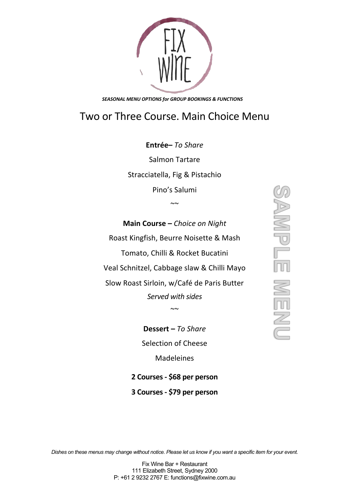## Two or Three Course. Main Choice Menu

**Entrée–** *To Share* Salmon Tartare Stracciatella, Fig & Pistachio Pino's Salumi  $\sim$ 

**Main Course –** *Choice on Night* Roast Kingfish, Beurre Noisette & Mash Tomato, Chilli & Rocket Bucatini Veal Schnitzel, Cabbage slaw & Chilli Mayo Slow Roast Sirloin, w/Café de Paris Butter *Served with sides*  $\sim$ ~

> **Dessert –** *To Share* Selection of Cheese Madeleines

**2 Courses - \$68 per person**

**3 Courses - \$79 per person**

**BAMPLE** NEM

*Dishes on these menus may change without notice. Please let us know if you want a specific item for your event.*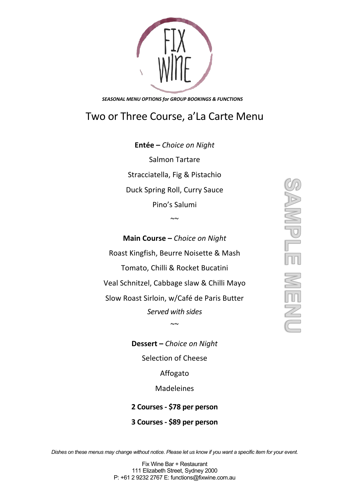## Two or Three Course, a'La Carte Menu

**Entée –** *Choice on Night* Salmon Tartare Stracciatella, Fig & Pistachio Duck Spring Roll, Curry Sauce Pino's Salumi

~~

**Main Course –** *Choice on Night* Roast Kingfish, Beurre Noisette & Mash Tomato, Chilli & Rocket Bucatini Veal Schnitzel, Cabbage slaw & Chilli Mayo Slow Roast Sirloin, w/Café de Paris Butter *Served with sides*  $\sim$ 

> **Dessert –** *Choice on Night* Selection of Cheese

Affogato

Madeleines

**2 Courses - \$78 per person 3 Courses - \$89 per person**

*Dishes on these menus may change without notice. Please let us know if you want a specific item for your event.*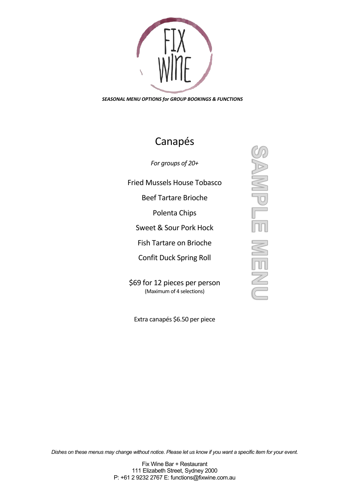## Canapés

*For groups of 20+*

Fried Mussels House Tobasco

Beef Tartare Brioche

Polenta Chips

Sweet & Sour Pork Hock

Fish Tartare on Brioche

Confit Duck Spring Roll

\$69 for 12 pieces per person (Maximum of 4 selections)

Extra canapés \$6.50 per piece

**ENGINI KENS** 

*Dishes on these menus may change without notice. Please let us know if you want a specific item for your event.*